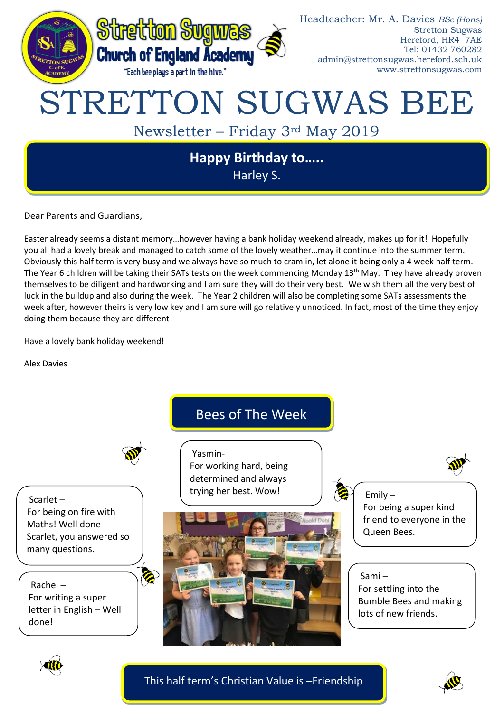

Dear Parents and Guardians,

Easter already seems a distant memory…however having a bank holiday weekend already, makes up for it! Hopefully you all had a lovely break and managed to catch some of the lovely weather…may it continue into the summer term. Obviously this half term is very busy and we always have so much to cram in, let alone it being only a 4 week half term. The Year 6 children will be taking their SATs tests on the week commencing Monday 13<sup>th</sup> May. They have already proven themselves to be diligent and hardworking and I am sure they will do their very best. We wish them all the very best of luck in the buildup and also during the week. The Year 2 children will also be completing some SATs assessments the week after, however theirs is very low key and I am sure will go relatively unnoticed. In fact, most of the time they enjoy doing them because they are different!

Have a lovely bank holiday weekend!

Alex Davies



This half term's Christian Value is –Friendship